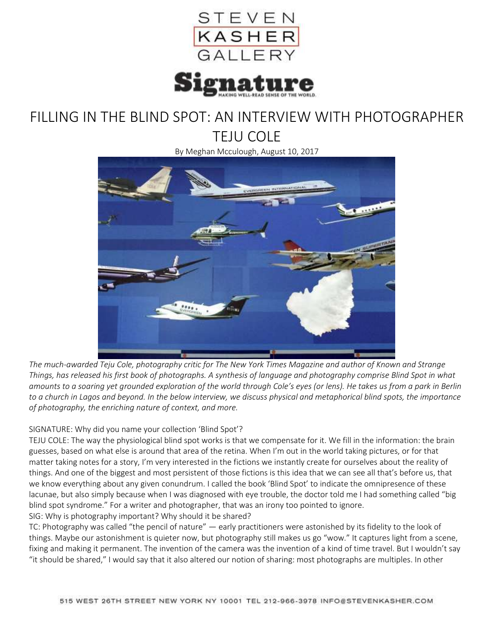

## FILLING IN THE BLIND SPOT: AN INTERVIEW WITH PHOTOGRAPHER TEJU COLE

By Meghan Mcculough, August 10, 2017



*The much-awarded Teju Cole, photography critic for The New York Times Magazine and author of Known and Strange Things, has released his first book of photographs. A synthesis of language and photography comprise Blind Spot in what amounts to a soaring yet grounded exploration of the world through Cole's eyes (or lens). He takes us from a park in Berlin to a church in Lagos and beyond. In the below interview, we discuss physical and metaphorical blind spots, the importance of photography, the enriching nature of context, and more.*

## SIGNATURE: Why did you name your collection 'Blind Spot'?

TEJU COLE: The way the physiological blind spot works is that we compensate for it. We fill in the information: the brain guesses, based on what else is around that area of the retina. When I'm out in the world taking pictures, or for that matter taking notes for a story, I'm very interested in the fictions we instantly create for ourselves about the reality of things. And one of the biggest and most persistent of those fictions is this idea that we can see all that's before us, that we know everything about any given conundrum. I called the book 'Blind Spot' to indicate the omnipresence of these lacunae, but also simply because when I was diagnosed with eye trouble, the doctor told me I had something called "big blind spot syndrome." For a writer and photographer, that was an irony too pointed to ignore. SIG: Why is photography important? Why should it be shared?

TC: Photography was called "the pencil of nature" — early practitioners were astonished by its fidelity to the look of things. Maybe our astonishment is quieter now, but photography still makes us go "wow." It captures light from a scene, fixing and making it permanent. The invention of the camera was the invention of a kind of time travel. But I wouldn't say "it should be shared," I would say that it also altered our notion of sharing: most photographs are multiples. In other